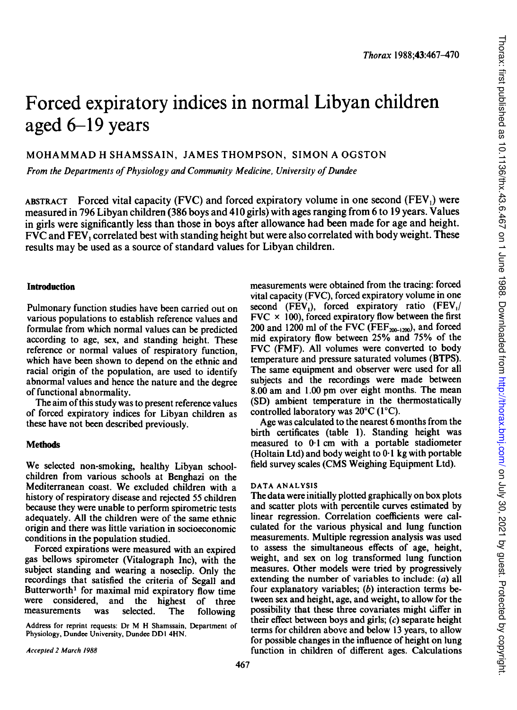# Forced expiratory indices in normal Libyan children aged 6-19 years

MOHAMMAD H SHAMSSAIN, JAMES THOMPSON, SIMON A OGSTON

From the Departments of Physiology and Community Medicine, University of Dundee

ABSTRACT Forced vital capacity (FVC) and forced expiratory volume in one second (FEV<sub>1</sub>) were measured in 796 Libyan children (386 boys and 410 girls) with ages ranging from 6 to 19 years. Values in girls were significantly less than those in boys after allowance had been made for age and height. FVC and FEV, correlated best with standing height but were also correlated with body weight. These results may be used as a source of standard values for Libyan children.

## Introduction

Pulmonary function studies have been carried out on various populations to establish reference values and formulae from which normal values can be predicted according to age, sex, and standing height. These reference or normal values of respiratory function. which have been shown to depend on the ethnic and racial origin of the population, are used to identify abnormal values and hence the nature and the degree of functional abnormality.

The aim of this study was to present reference values of forced expiratory indices for Libyan children as these have not been described previously.

# **Methods**

We selected non-smoking, healthy Libyan schoolchildren from various schools at Benghazi on the Mediterranean coast. We excluded children with a history of respiratory disease and rejected 55 children because they were unable to perform spirometric tests adequately. All the children were of the same ethnic origin and there was little variation in socioeconomic conditions in the population studied.

Forced expirations were measured with an expired gas bellows spirometer (Vitalograph Inc), with the subject standing and wearing a noseclip. Only the recordings that satisfied the criteria of Segall and Butterworth<sup>1</sup> for maximal mid expiratory flow time were considered, and the highest of three measurements was selected. The following

Address for reprint requests: Dr M H Shamssain, Department of Physiology, Dundee University, Dundee DDI 4HN.

measurements were obtained from the tracing: forced vital capacity (FVC), forced expiratory volume in one second (FEV<sub>1</sub>), forced expiratory ratio (FEV<sub>1</sub>)  $FVC \times 100$ , forced expiratory flow between the first 200 and 1200 ml of the FVC (FEF $_{200-1200}$ ), and forced mid expiratory flow between 25% and 75% of the FVC (FMF). All volumes were converted to body temperature and pressure saturated volumes (BTPS). The same equipment and observer were used for all subjects and the recordings were made between 8.00 am and 1.00 pm over eight months. The mean (SD) ambient temperature in the thermostatically controlled laboratory was 20°C (1°C).

Age was calculated to the nearest 6 months from the birth certificates (table 1). Standing height was measured to 0-1 cm with a portable stadiometer (Holtain Ltd) and body weight to 0-1 kg with portable field survey scales (CMS Weighing Equipment Ltd).

## DATA ANALYSIS

The data were initially plotted graphically on box plots and scatter plots with percentile curves estimated by linear regression. Correlation coefficients were calculated for the various physical and lung function measurements. Multiple regression analysis was used to assess the simultaneous effects of age, height, weight, and sex on log transformed lung function measures. Other models were tried by progressively extending the number of variables to include: (a) all four explanatory variables;  $(b)$  interaction terms between sex and height, age, and weight, to allow for the possibility that these three covariates might differ in their effect between boys and girls;  $(c)$  separate height terms for children above and below 13 years, to allow for possible changes in the influence of height on lung function in children of different ages. Calculations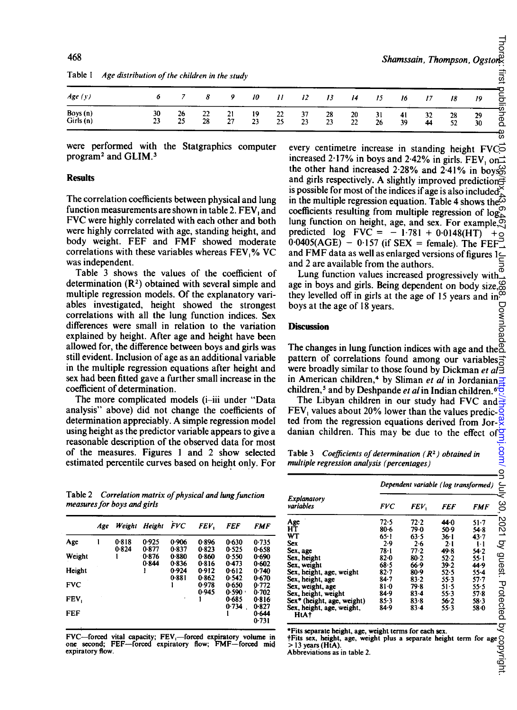| Table 1<br>Age distribution of the children in the study |          |          |          |    |          |          |          |          |          |          |          |          |          |          |
|----------------------------------------------------------|----------|----------|----------|----|----------|----------|----------|----------|----------|----------|----------|----------|----------|----------|
| Age(y)                                                   |          |          |          |    | 10       | 11       |          |          | 14       | 15       | 16       |          | 18       | 19       |
| Boys (n)<br>Girls (n)                                    | 30<br>23 | 26<br>25 | 22<br>28 | 27 | 19<br>23 | 22<br>25 | 37<br>23 | 28<br>23 | 20<br>22 | 31<br>26 | 41<br>39 | 32<br>44 | 28<br>52 | 29<br>30 |

Table <sup>1</sup> Age distribution of the children in the study

were performed with the Statgraphics computer program2 and GLIM.3

#### Results

The correlation coefficients between physical and lung function measurements are shown in table 2. FEV, and FVC were highly correlated with each other and both were highly correlated with age, standing height, and body weight. FEF and FMF showed moderate correlations with these variables whereas FEV,% VC was independent.

Table 3 shows the values of the coefficient of determination  $(R<sup>2</sup>)$  obtained with several simple and multiple regression models. Of the explanatory variables investigated, height showed the strongest correlations with all the lung function indices. Sex differences were small in relation to the variation explained by height. After age and height have been allowed for, the difference between boys and girls was still evident. Inclusion of age as an additional variable in the multiple regression equations after height and sex had been fitted gave a further small increase in the coefficient of determination.

The more complicated models (i-iii under "Data analysis" above) did not change the coefficients of determination appreciably. A simple regression model using height as the predictor variable appears to give a reasonable description of the observed data for most of the measures. Figures <sup>1</sup> and 2 show selected estimated percentile curves based on height only. For

Table 2 Correlation matrix of physical and lung function measures for boys and girls

|            | Age | Weight | Height         | FVC            | FEV.           | FEF            | FMF            |
|------------|-----|--------|----------------|----------------|----------------|----------------|----------------|
| Age        |     | 0.818  | 0.925          | 0.906          | 0.896          | 0.630          | 0.735          |
|            |     | 0.824  | 0.877<br>0.876 | 0.837<br>0.880 | 0.823<br>0.860 | 0.525          | 0.658          |
| Weight     |     |        | 0.844          | 0.836          | 0.816          | 0.550<br>0.473 | 0.690<br>0.602 |
| Height     |     |        |                | 0.924          | 0.912          | 0.612          | 0.740          |
|            |     |        |                | 0.881          | 0.862          | 0.542          | 0.670          |
| <b>FVC</b> |     |        |                |                | 0.978          | 0.650          | 0.772          |
|            |     |        |                |                | 0.945          | $0.590 -$      | 0.702          |
| FEV.       |     |        |                |                |                | 0.685          | 0.816          |
|            |     |        |                |                |                | 0.734          | 0.827          |
| FEF        |     |        |                |                |                |                | 0.644          |
|            |     |        |                |                |                |                | 0.731          |

FVC—forced vital capacity; FEV<sub>1</sub>—forced expiratory volume in one second; FEF—forced expiratory flow; FMF—forced mid expiratory flow.

every centimetre increase in standing height FVC increased 2.17% in boys and 2.42% in girls. FEV, on $\rightleftarrows$ the other hand increased 2 28% and 2-41% in boys and girls respectively. A slightly improved prediction $\Rightarrow$ is possible for most of the indices if age is also included<sup> $\times$ </sup> in the multiple regression equation. Table 4 shows the  $\overline{\omega}$ coefficients resulting from multiple regression of log lung function on height, age, and sex. For example, originated log  $\text{FVC} = -1.781 + 0.0148(\text{HT}) + \text{O}$ predicted  $log$  FVC =  $-1.781 + 0.0148(HT)$  $0.0405(AGE) - 0.157$  (if SEX = female). The FEF and FMF data as well as enlarged versions of figures  $1 \subseteq$ and 2 are available from the authors.

Lung function values increased progressively with  $\frac{a}{b}$ age in boys and girls. Being dependent on body size,  $\infty$ they levelled off in girls at the age of 15 years and in<sup> $\tilde{\infty}$ </sup> boys at the age of 18 years.

#### Discussion

The changes in lung function indices with age and the  $\{$ pattern of correlations found among our variables were broadly similar to those found by Dickman et  $al\breve{\exists}$ in American children,<sup>4</sup> by Sliman *et al* in Jordanian children,<sup>5</sup> and by Deshpande et al in Indian children.<sup>6</sup> $\overline{6}$ 

The Libyan children in our study had FVC and  $\frac{1}{x}$ FEV<sub>1</sub> values about 20% lower than the values predic- $\frac{3}{5}$ ted from the regression equations derived from Jor- $\frac{\omega}{\alpha}$ danian children. This may be due to the effect of

Table 3 Coefficients of determination  $(R^2)$  obtained in multiple regression analysis (percentages)

|                                   | Dependent variable (log transformed) |          |            |            |        |  |  |
|-----------------------------------|--------------------------------------|----------|------------|------------|--------|--|--|
| Explanatory<br>variables          | <b>FVC</b>                           | FEV,     | <b>FEF</b> | <b>FMF</b> | ¢<br>ၘ |  |  |
| Age                               | 72.5                                 | 72.2     | 44.0       | $51 - 7$   | 504    |  |  |
| НŤ                                | $80 - 6$                             | 79.0     | 50.9       | 54.8       |        |  |  |
| WT                                | $65 - 1$                             | 63.5     | $36-1$     | $43 - 7$   |        |  |  |
| <b>Sex</b>                        | 2.9                                  | 2.6      | $2 - 1$    | $1-1$      | ς      |  |  |
| Sex, age                          | 78-1                                 | $77 - 2$ | 49.8       | 54.2       |        |  |  |
| Sex, height                       | $82 - 0$                             | 80.2     | 52.2       | $55 - 1$   |        |  |  |
| Sex, weight                       | 68.5                                 | 66.9     | 39.2       | 44.9       | anesr. |  |  |
| Sex, height, age, weight          | $82 - 7$                             | $80-9$   | 52.5       | 55.4       |        |  |  |
| Sex, height, age                  | $84 - 7$                             | 83.2     | $55-3$     | $57 - 7$   |        |  |  |
| Sex, weight, age                  | $81 - 0$                             | 79-8     | $51 - 5$   | $55 - 5$   |        |  |  |
| Sex, height, weight               | 84.9                                 | $83 - 4$ | $55-3$     | $57 - 8$   |        |  |  |
| Sex* (height, age, weight)        | 85.3                                 | 83.8     | $56 - 2$   | $58 - 3$   |        |  |  |
| Sex, height, age, weight,<br>HtA+ | 84.9                                 | $83 - 4$ | $55-3$     | $58 - 0$   | nanain |  |  |

\*Fits separate height, age, weight terms for each sex.

Fits separate height, age, weight terms for each sex.<br>  $\frac{1}{2}$ Fits sex, height, age, weight plus a separate height term for age O<br>  $>$ 13 years (HtA).<br>
Abbreviations as in table 2.  $>$  13 years (HtA).

Abbreviations as in table 2.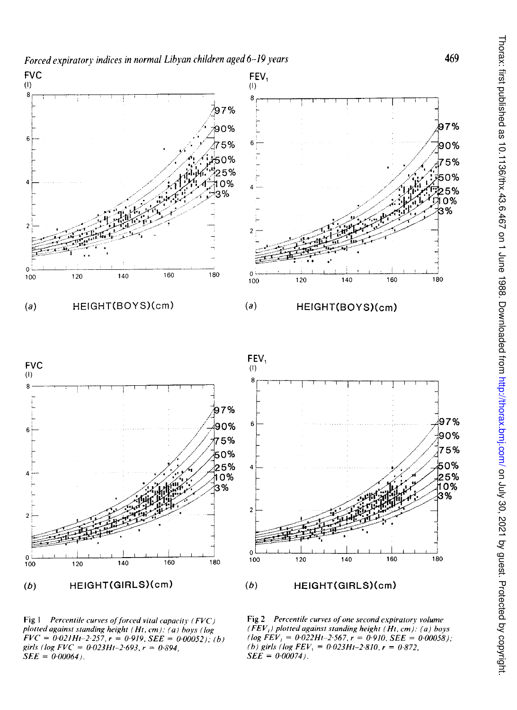

Fig  $1$  Percentile curves of forced vital capacity (FVC) plotted against standing height (Ht, cm). (a) boys (log  $FVC = 0.021Ht-2.257, r = 0.919, SEE = 0.00052); (b)$ girls (log  $FVC = 0.023Ht-2.693$ ,  $r = 0.894$ ,  $SEE = 0.00064$ .

Fig 2 Percentile curves of one second expiratory volume  $(FEV<sub>t</sub>)$  plotted against standing height (Ht, cm). (a) boys  $(log FEV_1 = 0.022Ht-2.567, r = 0.910, SEE = 0.00058);$ (b) girls (log  $FEV_1 = 0.023H_1 - 2.810$ ,  $r = 0.872$ )  $SEE = 0.00074$ .